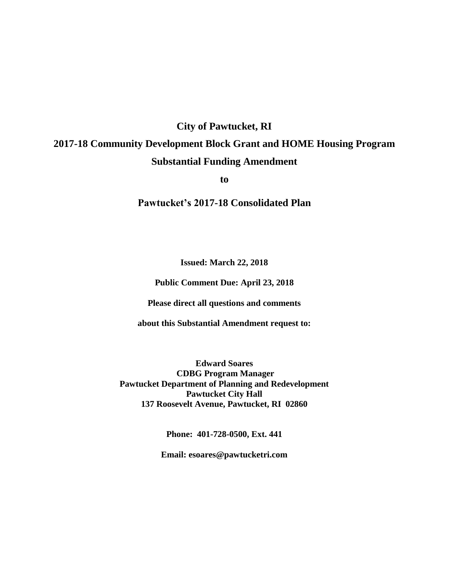## **City of Pawtucket, RI**

# **2017-18 Community Development Block Grant and HOME Housing Program Substantial Funding Amendment**

**to**

**Pawtucket's 2017-18 Consolidated Plan**

**Issued: March 22, 2018**

**Public Comment Due: April 23, 2018**

**Please direct all questions and comments** 

**about this Substantial Amendment request to:**

**Edward Soares CDBG Program Manager Pawtucket Department of Planning and Redevelopment Pawtucket City Hall 137 Roosevelt Avenue, Pawtucket, RI 02860**

**Phone: 401-728-0500, Ext. 441**

**Email: esoares@pawtucketri.com**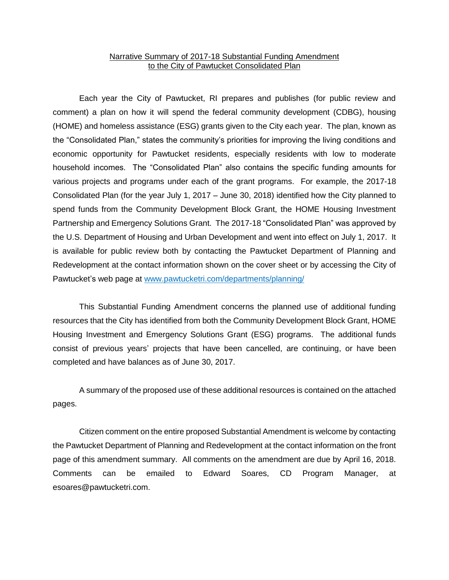#### Narrative Summary of 2017-18 Substantial Funding Amendment to the City of Pawtucket Consolidated Plan

Each year the City of Pawtucket, RI prepares and publishes (for public review and comment) a plan on how it will spend the federal community development (CDBG), housing (HOME) and homeless assistance (ESG) grants given to the City each year. The plan, known as the "Consolidated Plan," states the community's priorities for improving the living conditions and economic opportunity for Pawtucket residents, especially residents with low to moderate household incomes. The "Consolidated Plan" also contains the specific funding amounts for various projects and programs under each of the grant programs. For example, the 2017-18 Consolidated Plan (for the year July 1, 2017 – June 30, 2018) identified how the City planned to spend funds from the Community Development Block Grant, the HOME Housing Investment Partnership and Emergency Solutions Grant. The 2017-18 "Consolidated Plan" was approved by the U.S. Department of Housing and Urban Development and went into effect on July 1, 2017. It is available for public review both by contacting the Pawtucket Department of Planning and Redevelopment at the contact information shown on the cover sheet or by accessing the City of Pawtucket's web page at www.pawtucketri.com/departments/planning/

This Substantial Funding Amendment concerns the planned use of additional funding resources that the City has identified from both the Community Development Block Grant, HOME Housing Investment and Emergency Solutions Grant (ESG) programs. The additional funds consist of previous years' projects that have been cancelled, are continuing, or have been completed and have balances as of June 30, 2017.

A summary of the proposed use of these additional resources is contained on the attached pages.

Citizen comment on the entire proposed Substantial Amendment is welcome by contacting the Pawtucket Department of Planning and Redevelopment at the contact information on the front page of this amendment summary. All comments on the amendment are due by April 16, 2018. Comments can be emailed to Edward Soares, CD Program Manager, at esoares@pawtucketri.com.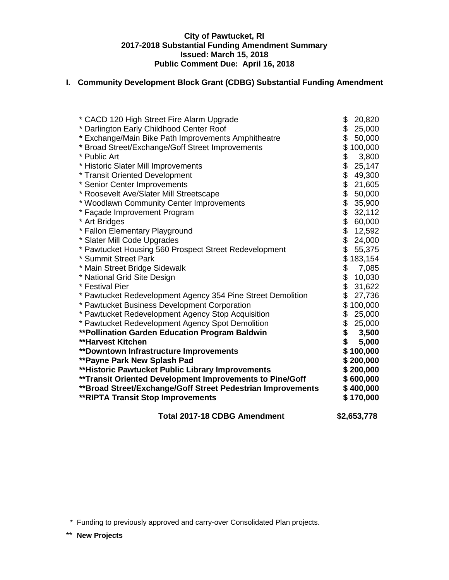#### **City of Pawtucket, RI 2017-2018 Substantial Funding Amendment Summary Issued: March 15, 2018 Public Comment Due: April 16, 2018**

### **I. Community Development Block Grant (CDBG) Substantial Funding Amendment**

| * CACD 120 High Street Fire Alarm Upgrade                    | \$<br>20,820         |
|--------------------------------------------------------------|----------------------|
| * Darlington Early Childhood Center Roof                     | \$<br>25,000         |
| * Exchange/Main Bike Path Improvements Amphitheatre          | \$<br>50,000         |
| * Broad Street/Exchange/Goff Street Improvements             | \$100,000            |
| * Public Art                                                 | \$<br>3,800          |
| * Historic Slater Mill Improvements                          | \$<br>25,147         |
| * Transit Oriented Development                               | \$<br>49,300         |
| * Senior Center Improvements                                 | 21,605               |
| * Roosevelt Ave/Slater Mill Streetscape                      | \$<br>\$<br>50,000   |
| * Woodlawn Community Center Improvements                     | \$<br>35,900         |
| * Façade Improvement Program                                 | \$<br>32,112         |
| * Art Bridges                                                | \$<br>60,000         |
| * Fallon Elementary Playground                               | \$<br>12,592         |
| * Slater Mill Code Upgrades                                  | \$<br>24,000         |
| * Pawtucket Housing 560 Prospect Street Redevelopment        | \$<br>55,375         |
| * Summit Street Park                                         | \$183,154            |
| * Main Street Bridge Sidewalk                                | \$<br>7,085          |
| * National Grid Site Design                                  | \$<br>10,030         |
| * Festival Pier                                              | $\dot{\$}$<br>31,622 |
| * Pawtucket Redevelopment Agency 354 Pine Street Demolition  | \$<br>27,736         |
| * Pawtucket Business Development Corporation                 | \$100,000            |
| * Pawtucket Redevelopment Agency Stop Acquisition            | \$<br>25,000         |
| * Pawtucket Redevelopment Agency Spot Demolition             | \$<br>25,000         |
| ** Pollination Garden Education Program Baldwin              | \$<br>3,500          |
| <b>**Harvest Kitchen</b>                                     | \$<br>5,000          |
| <b>**Downtown Infrastructure Improvements</b>                | \$100,000            |
| <b>**Payne Park New Splash Pad</b>                           | \$200,000            |
| ** Historic Pawtucket Public Library Improvements            | \$200,000            |
| **Transit Oriented Development Improvements to Pine/Goff     | \$600,000            |
| ** Broad Street/Exchange/Goff Street Pedestrian Improvements | \$400,000            |
| <b>**RIPTA Transit Stop Improvements</b>                     | \$170,000            |
|                                                              |                      |

**Total 2017-18 CDBG Amendment \$2,653,778**

\* Funding to previously approved and carry-over Consolidated Plan projects.

\*\* **New Projects**